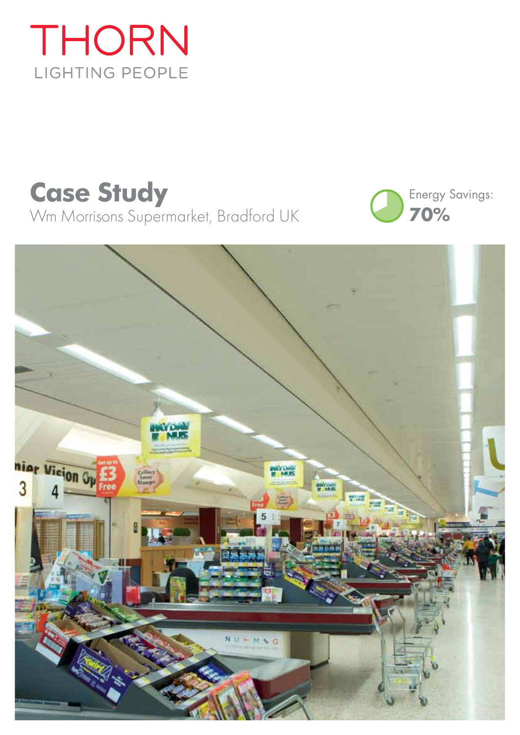# THORN LIGHTING PEOPLE

## **Case Study** Wm Morrisons Supermarket, Bradford UK



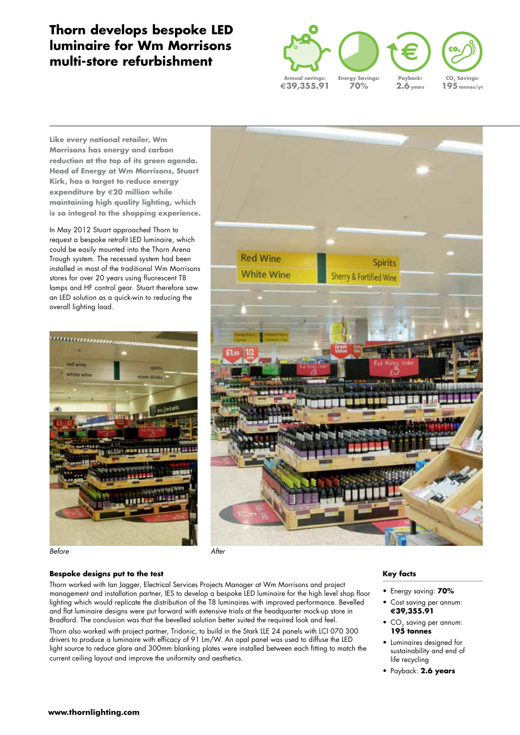### **Thorn develops bespoke LED luminaire for Wm Morrisons multi-store refurbishment**



**Like every national retailer, Wm Morrisons has energy and carbon reduction at the top of its green agenda. Head of Energy at Wm Morrisons, Stuart Kirk, has a target to reduce energy expenditure by €20 million while maintaining high quality lighting, which is so integral to the shopping experience.**

In May 2012 Stuart approached Thorn to request a bespoke retrofit LED luminaire, which could be easily mounted into the Thorn Arena Trough system. The recessed system had been installed in most of the traditional Wm Morrisons stores for over 20 years using fluorescent T8 lamps and HF control gear. Stuart therefore saw an LED solution as a quick-win to reducing the overall lighting load.



Before After American Section After



#### **Bespoke designs put to the test**

Thorn worked with Ian Jagger, Electrical Services Projects Manager at Wm Morrisons and project management and installation partner, IES to develop a bespoke LED luminaire for the high level shop floor lighting which would replicate the distribution of the T8 luminaires with improved performance. Bevelled and flat luminaire designs were put forward with extensive trials at the headquarter mock-up store in Bradford. The conclusion was that the bevelled solution better suited the required look and feel.

Thorn also worked with project partner, Tridonic, to build in the Stark LLE 24 panels with LCI 070 300 drivers to produce a luminaire with efficacy of 91 Lm/W. An opal panel was used to diffuse the LED light source to reduce glare and 300mm blanking plates were installed between each fitting to match the current ceiling layout and improve the uniformity and aesthetics.

#### **Key facts**

- Energy saving: **70%**
- Cost saving per annum: **€39,355.91**
- CO<sub>2</sub> saving per annum:<br>**195 tonnes**
- Luminaires designed for sustainability and end of life recycling
- Payback: **2.6 years**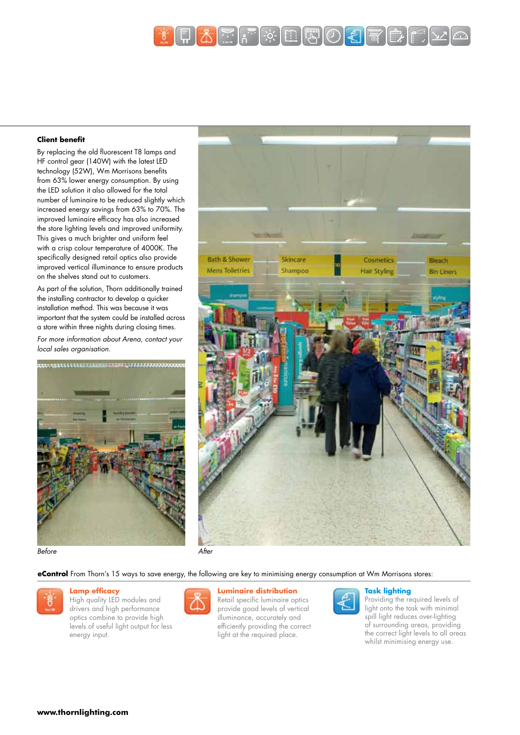

#### **Client benefit**

By replacing the old fluorescent T8 lamps and HF control gear (140W) with the latest LED technology (52W), Wm Morrisons benefits from 63% lower energy consumption. By using the LED solution it also allowed for the total number of luminaire to be reduced slightly which increased energy savings from 63% to 70%. The improved luminaire efficacy has also increased the store lighting levels and improved uniformity. This gives a much brighter and uniform feel with a crisp colour temperature of 4000K. The specifically designed retail optics also provide improved vertical illuminance to ensure products on the shelves stand out to customers.

As part of the solution, Thorn additionally trained the installing contractor to develop a quicker installation method. This was because it was important that the system could be installed across a store within three nights during closing times. For more information about Arena, contact your local sales organisation.





Before After American After American After



**eControl** From Thorn's 15 ways to save energy, the following are key to minimising energy consumption at Wm Morrisons stores:



#### **Lamp efficacy**

High quality LED modules and drivers and high performance optics combine to provide high levels of useful light output for less energy input.



#### **Luminaire distribution**

Retail specific luminaire optics provide good levels of vertical illuminance, accurately and efficiently providing the correct light at the required place.



#### **Task lighting**

Providing the required levels of light onto the task with minimal spill light reduces over-lighting of surrounding areas, providing the correct light levels to all areas whilst minimising energy use.



**www.thornlighting.com**